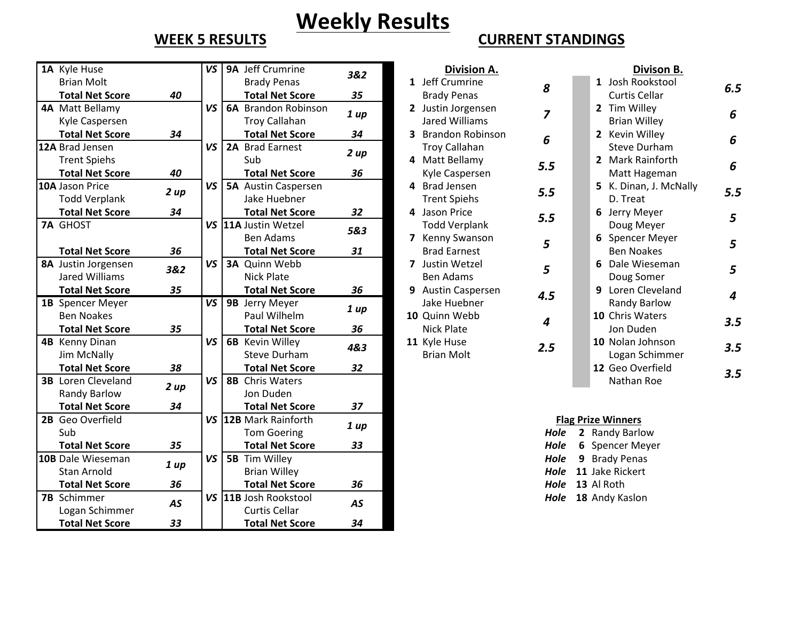# **Weekly Results**

| 1A Kyle Huse              |      | VS        | 9A Jeff Crumrine           | 3&2       | Division A.          |                | Divison B.                |
|---------------------------|------|-----------|----------------------------|-----------|----------------------|----------------|---------------------------|
| <b>Brian Molt</b>         |      |           | <b>Brady Penas</b>         |           | 1 Jeff Crumrine      |                | 1 Josh Rookstool          |
| <b>Total Net Score</b>    | 40   |           | <b>Total Net Score</b>     | 35        | <b>Brady Penas</b>   | 8              | <b>Curtis Cellar</b>      |
| 4A Matt Bellamy           |      | VS        | <b>6A</b> Brandon Robinson |           | 2 Justin Jorgensen   | $\overline{z}$ | 2 Tim Willey              |
| Kyle Caspersen            |      |           | <b>Troy Callahan</b>       | 1 up      | Jared Williams       |                | <b>Brian Willey</b>       |
| <b>Total Net Score</b>    | 34   |           | <b>Total Net Score</b>     | 34        | 3 Brandon Robinson   | 6              | 2 Kevin Willey            |
| 12A Brad Jensen           |      | VS        | 2A Brad Earnest            |           | <b>Troy Callahan</b> |                | <b>Steve Durham</b>       |
| <b>Trent Spiehs</b>       |      |           | Sub                        | 2 up      | 4 Matt Bellamy       | 5.5            | 2 Mark Rainforth          |
| <b>Total Net Score</b>    | 40   |           | <b>Total Net Score</b>     | 36        | Kyle Caspersen       |                | Matt Hageman              |
| 10A Jason Price           | 2 up | VS        | <b>5A</b> Austin Caspersen |           | 4 Brad Jensen        | 5.5            | 5 K. Dinan, J. McNally    |
| <b>Todd Verplank</b>      |      |           | Jake Huebner               |           | <b>Trent Spiehs</b>  |                | D. Treat                  |
| <b>Total Net Score</b>    | 34   |           | <b>Total Net Score</b>     | 32        | 4 Jason Price        | 5.5            | 6 Jerry Meyer             |
| <b>7A GHOST</b>           |      |           | VS 11A Justin Wetzel       | 5&3       | <b>Todd Verplank</b> |                | Doug Meyer                |
|                           |      |           | <b>Ben Adams</b>           |           | 7 Kenny Swanson      | 5              | 6 Spencer Meyer           |
| <b>Total Net Score</b>    | 36   |           | <b>Total Net Score</b>     | 31        | <b>Brad Earnest</b>  |                | <b>Ben Noakes</b>         |
| 8A Justin Jorgensen       | 3&2  | VS        | <b>3A</b> Quinn Webb       |           | 7 Justin Wetzel      | 5              | 6 Dale Wieseman           |
| Jared Williams            |      |           | <b>Nick Plate</b>          |           | <b>Ben Adams</b>     |                | Doug Somer                |
| <b>Total Net Score</b>    | 35   |           | <b>Total Net Score</b>     | 36        | 9 Austin Caspersen   | 4.5            | 9 Loren Cleveland         |
| 1B Spencer Meyer          |      | <b>VS</b> | 9B Jerry Meyer             | 1 up      | Jake Huebner         |                | Randy Barlow              |
| <b>Ben Noakes</b>         |      |           | Paul Wilhelm               |           | 10 Quinn Webb        | 4              | 10 Chris Waters           |
| <b>Total Net Score</b>    | 35   |           | <b>Total Net Score</b>     | 36        | <b>Nick Plate</b>    |                | Jon Duden                 |
| 4B Kenny Dinan            |      | VS        | <b>6B</b> Kevin Willey     | 4&3       | 11 Kyle Huse         | 2.5            | 10 Nolan Johnson          |
| Jim McNally               |      |           | <b>Steve Durham</b>        |           | <b>Brian Molt</b>    |                | Logan Schimmer            |
| <b>Total Net Score</b>    | 38   |           | <b>Total Net Score</b>     | 32        |                      |                | 12 Geo Overfield          |
| <b>3B</b> Loren Cleveland | 2 up | VS        | 8B Chris Waters            |           |                      |                | Nathan Roe                |
| Randy Barlow              |      |           | Jon Duden                  |           |                      |                |                           |
| <b>Total Net Score</b>    | 34   |           | <b>Total Net Score</b>     | 37        |                      |                |                           |
| 2B Geo Overfield          |      |           | VS 12B Mark Rainforth      | 1 up      |                      |                | <b>Flag Prize Winners</b> |
| Sub                       |      |           | <b>Tom Goering</b>         |           |                      | Hole           | 2 Randy Barlow            |
| <b>Total Net Score</b>    | 35   |           | <b>Total Net Score</b>     | 33        |                      | Hole           | 6 Spencer Meyer           |
| 10B Dale Wieseman         | 1 up | VS        | 5B Tim Willey              |           |                      | Hole           | <b>Brady Penas</b><br>9   |
| <b>Stan Arnold</b>        |      |           | <b>Brian Willey</b>        |           |                      | Hole           | 11 Jake Rickert           |
| <b>Total Net Score</b>    | 36   |           | <b>Total Net Score</b>     | 36        |                      | Hole           | 13 Al Roth                |
| <b>7B</b> Schimmer        | AS   |           | VS 11B Josh Rookstool      | <b>AS</b> |                      | Hole           | 18 Andy Kaslon            |
| Logan Schimmer            |      |           | <b>Curtis Cellar</b>       |           |                      |                |                           |
| <b>Total Net Score</b>    | 33   |           | <b>Total Net Score</b>     | 34        |                      |                |                           |

## **WEEK 5 RESULTS CURRENT STANDINGS**

| Jeff Crumrine           | 3&2  | Division A.                  |                | Divison B.             |                |
|-------------------------|------|------------------------------|----------------|------------------------|----------------|
| <b>Brady Penas</b>      |      | 1 Jeff Crumrine              | 8              | 1 Josh Rookstool       | 6.5            |
| <b>Total Net Score</b>  | 35   | <b>Brady Penas</b>           |                | Curtis Cellar          |                |
| <b>Brandon Robinson</b> | 1 up | 2 Justin Jorgensen           | $\overline{z}$ | 2 Tim Willey           | 6              |
| Troy Callahan           |      | Jared Williams               |                | <b>Brian Willey</b>    |                |
| <b>Total Net Score</b>  | 34   | 3 Brandon Robinson           | 6              | 2 Kevin Willey         | 6              |
| <b>Brad Earnest</b>     | 2 up | <b>Troy Callahan</b>         |                | <b>Steve Durham</b>    |                |
| Subl                    |      | 4 Matt Bellamy               | 5.5            | 2 Mark Rainforth       | 6              |
| <b>Total Net Score</b>  | 36   | Kyle Caspersen               |                | Matt Hageman           |                |
| <b>Austin Caspersen</b> |      | 4 Brad Jensen                | 5.5            | 5 K. Dinan, J. McNally | 5.5            |
| Jake Huebner            |      | <b>Trent Spiehs</b>          |                | D. Treat               |                |
| <b>Total Net Score</b>  | 32   | 4 Jason Price                | 5.5            | 6 Jerry Meyer          | 5              |
| Justin Wetzel           | 5&3  | <b>Todd Verplank</b>         |                | Doug Meyer             |                |
| Ben Adams               |      | Kenny Swanson                | 5              | 6 Spencer Meyer        | 5              |
| <b>Total Net Score</b>  | 31   | <b>Brad Earnest</b>          |                | <b>Ben Noakes</b>      |                |
| Quinn Webb              |      | Justin Wetzel<br>7           | 5              | 6 Dale Wieseman        | 5              |
| Nick Plate              |      | Ben Adams                    |                | Doug Somer             |                |
| <b>Total Net Score</b>  | 36   | <b>Austin Caspersen</b><br>9 | 4.5            | 9 Loren Cleveland      | $\overline{4}$ |
| Jerry Meyer             | 1 up | Jake Huebner                 |                | Randy Barlow           |                |
| Paul Wilhelm            |      | 10 Quinn Webb                | 4              | 10 Chris Waters        | 3.5            |
| <b>Total Net Score</b>  | 36   | Nick Plate                   |                | Jon Duden              |                |
| Kevin Willey            | 4&3  | 11 Kyle Huse                 | 2.5            | 10 Nolan Johnson       | 3.5            |
| Steve Durham            |      | <b>Brian Molt</b>            |                | Logan Schimmer         |                |
| Total Net Score         | 32   |                              |                | 12 Geo Overfield       |                |

|           | <u>Divison B.</u>             |     |
|-----------|-------------------------------|-----|
| 8         | 1 Josh Rookstool              | 6.5 |
|           | <b>Curtis Cellar</b>          |     |
| 7         | 2 Tim Willey                  | 6   |
|           | <b>Brian Willey</b>           |     |
| 6         | 2 Kevin Willey                | 6   |
|           | <b>Steve Durham</b>           |     |
| .5        | 2 Mark Rainforth              | 6   |
|           | Matt Hageman                  |     |
| .5        | 5 K. Dinan, J. McNally        | 5.5 |
|           | D. Treat                      |     |
| .5        | 6 Jerry Meyer                 | 5   |
|           | Doug Meyer<br>6 Spencer Meyer |     |
| 5         | <b>Ben Noakes</b>             | 5   |
|           | 6 Dale Wieseman               |     |
| 5         | Doug Somer                    | 5   |
|           | 9 Loren Cleveland             |     |
| <b>.5</b> | <b>Randy Barlow</b>           | 4   |
|           | 10 Chris Waters               |     |
| 4         | Jon Duden                     | 3.5 |
|           | 10 Nolan Johnson              |     |
| .5        | Logan Schimmer                | 3.5 |
|           | 12 Geo Overfield              |     |
|           | Nathan Roe                    | 3.5 |
|           |                               |     |

## **<u>Flag Prize Winners</u>**

| Hole | 2 Randy Barlow      |
|------|---------------------|
| Hole | 6 Spencer Meyer     |
| Hole | 9 Brady Penas       |
| Hole | 11 Jake Rickert     |
| Hole | 13 Al Roth          |
|      | Hole 18 Andy Kaslon |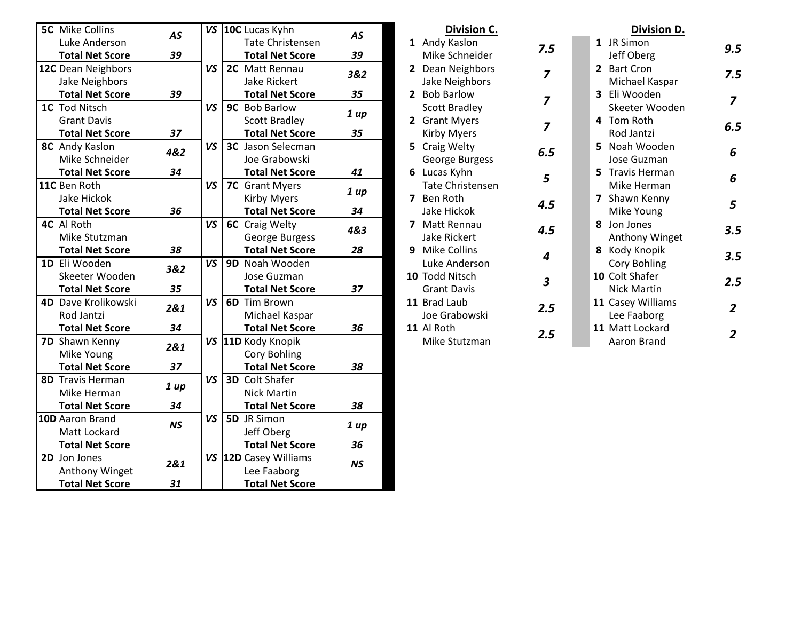| <b>5C</b> Mike Collins | <b>AS</b> |           | VS 10C Lucas Kyhn        | <b>AS</b> | Division C.             |                | Division D.        |
|------------------------|-----------|-----------|--------------------------|-----------|-------------------------|----------------|--------------------|
| Luke Anderson          |           |           | <b>Tate Christensen</b>  |           | 1 Andy Kaslon           | 7.5            | 1 JR Simon         |
| <b>Total Net Score</b> | 39        |           | <b>Total Net Score</b>   | 39        | Mike Schneider          |                | Jeff Oberg         |
| 12C Dean Neighbors     |           | VS        | 2C Matt Rennau           | 3&2       | 2 Dean Neighbors        | $\overline{z}$ | 2 Bart Cron        |
| Jake Neighbors         |           |           | Jake Rickert             |           | Jake Neighbors          |                | Michael Kaspar     |
| <b>Total Net Score</b> | 39        |           | <b>Total Net Score</b>   | 35        | 2 Bob Barlow            | $\overline{z}$ | 3 Eli Wooden       |
| 1C Tod Nitsch          |           | VS        | 9C Bob Barlow            |           | <b>Scott Bradley</b>    |                | Skeeter Wooden     |
| <b>Grant Davis</b>     |           |           | <b>Scott Bradley</b>     | 1 up      | 2 Grant Myers           | $\overline{z}$ | 4 Tom Roth         |
| <b>Total Net Score</b> | 37        |           | <b>Total Net Score</b>   | 35        | <b>Kirby Myers</b>      |                | Rod Jantzi         |
| 8C Andy Kaslon         | 4&2       | VS        | <b>3C</b> Jason Selecman |           | 5 Craig Welty           | 6.5            | 5 Noah Wooden      |
| Mike Schneider         |           |           | Joe Grabowski            |           | George Burgess          |                | Jose Guzman        |
| <b>Total Net Score</b> | 34        |           | <b>Total Net Score</b>   | 41        | 6 Lucas Kyhn            | 5              | 5 Travis Herman    |
| 11C Ben Roth           |           | VS        | 7C Grant Myers           |           | <b>Tate Christensen</b> |                | Mike Herman        |
| Jake Hickok            |           |           | <b>Kirby Myers</b>       | 1 up      | 7 Ben Roth              | 4.5            | 7 Shawn Kenny      |
| <b>Total Net Score</b> | 36        |           | <b>Total Net Score</b>   | 34        | Jake Hickok             |                | Mike Young         |
| 4C Al Roth             |           | VS        | <b>6C</b> Craig Welty    | 4&3       | 7 Matt Rennau           | 4.5            | 8 Jon Jones        |
| Mike Stutzman          |           |           | George Burgess           |           | <b>Jake Rickert</b>     |                | Anthony Winget     |
| <b>Total Net Score</b> | 38        |           | <b>Total Net Score</b>   | 28        | 9 Mike Collins          | 4              | 8 Kody Knopik      |
| 1D Eli Wooden          | 3&2       | VS        | 9D Noah Wooden           |           | Luke Anderson           |                | Cory Bohling       |
| Skeeter Wooden         |           |           | Jose Guzman              |           | 10 Todd Nitsch          | 3              | 10 Colt Shafer     |
| <b>Total Net Score</b> | 35        |           | <b>Total Net Score</b>   | 37        | <b>Grant Davis</b>      |                | <b>Nick Martin</b> |
| 4D Dave Krolikowski    | 2&1       | VS        | <b>6D</b> Tim Brown      |           | 11 Brad Laub            | 2.5            | 11 Casey Williams  |
| Rod Jantzi             |           |           | Michael Kaspar           |           | Joe Grabowski           |                | Lee Faaborg        |
| <b>Total Net Score</b> | 34        |           | <b>Total Net Score</b>   | 36        | 11 Al Roth              | 2.5            | 11 Matt Lockard    |
| 7D Shawn Kenny         | 2&1       | VS        | 11D Kody Knopik          |           | Mike Stutzman           |                | Aaron Brand        |
| Mike Young             |           |           | Cory Bohling             |           |                         |                |                    |
| <b>Total Net Score</b> | 37        |           | <b>Total Net Score</b>   | 38        |                         |                |                    |
| 8D Travis Herman       |           | VS        | <b>3D</b> Colt Shafer    |           |                         |                |                    |
| Mike Herman            | 1 up      |           | <b>Nick Martin</b>       |           |                         |                |                    |
| <b>Total Net Score</b> | 34        |           | <b>Total Net Score</b>   | 38        |                         |                |                    |
| 10D Aaron Brand        |           | <b>VS</b> | 5D JR Simon              |           |                         |                |                    |
| Matt Lockard           | <b>NS</b> |           | Jeff Oberg               | 1 up      |                         |                |                    |
| <b>Total Net Score</b> |           |           | <b>Total Net Score</b>   | 36        |                         |                |                    |
| 2D Jon Jones           | 2&1       |           | VS 12D Casey Williams    | <b>NS</b> |                         |                |                    |
| Anthony Winget         |           |           | Lee Faaborg              |           |                         |                |                    |
| <b>Total Net Score</b> | 31        |           | <b>Total Net Score</b>   |           |                         |                |                    |

|   | Division C.             |                |   | Division D.        |                |
|---|-------------------------|----------------|---|--------------------|----------------|
|   | 1 Andy Kaslon           | 7.5            | 1 | JR Simon           | 9.5            |
|   | Mike Schneider          |                |   | Jeff Oberg         |                |
|   | 2 Dean Neighbors        | $\overline{z}$ |   | 2 Bart Cron        | 7.5            |
|   | Jake Neighbors          |                |   | Michael Kaspar     |                |
|   | 2 Bob Barlow            | $\overline{z}$ |   | 3 Eli Wooden       | 7              |
|   | <b>Scott Bradley</b>    |                |   | Skeeter Wooden     |                |
|   | 2 Grant Myers           | 7              |   | 4 Tom Roth         | 6.5            |
|   | Kirby Myers             |                |   | Rod Jantzi         |                |
|   | 5 Craig Welty           | 6.5            |   | 5 Noah Wooden      | 6              |
|   | George Burgess          |                |   | Jose Guzman        |                |
|   | 6 Lucas Kyhn            | 5              |   | 5 Travis Herman    | 6              |
|   | <b>Tate Christensen</b> |                |   | Mike Herman        |                |
|   | 7 Ben Roth              | 4.5            |   | 7 Shawn Kenny      | 5              |
|   | Jake Hickok             |                |   | Mike Young         |                |
| 7 | Matt Rennau             | 4.5            |   | 8 Jon Jones        | 3.5            |
|   | <b>Jake Rickert</b>     |                |   | Anthony Winget     |                |
|   | 9 Mike Collins          | 4              | 8 | Kody Knopik        | 3.5            |
|   | Luke Anderson           |                |   | Cory Bohling       |                |
|   | 10 Todd Nitsch          | 3              |   | 10 Colt Shafer     | 2.5            |
|   | <b>Grant Davis</b>      |                |   | <b>Nick Martin</b> |                |
|   | 11 Brad Laub            | 2.5            |   | 11 Casey Williams  | $\overline{2}$ |
|   | Joe Grabowski           |                |   | Lee Faaborg        |                |
|   | 11 Al Roth              | 2.5            |   | 11 Matt Lockard    | 2              |
|   | Mike Stutzman           |                |   | Aaron Brand        |                |

*6.5*

*3.5*

*2.5*

*7*